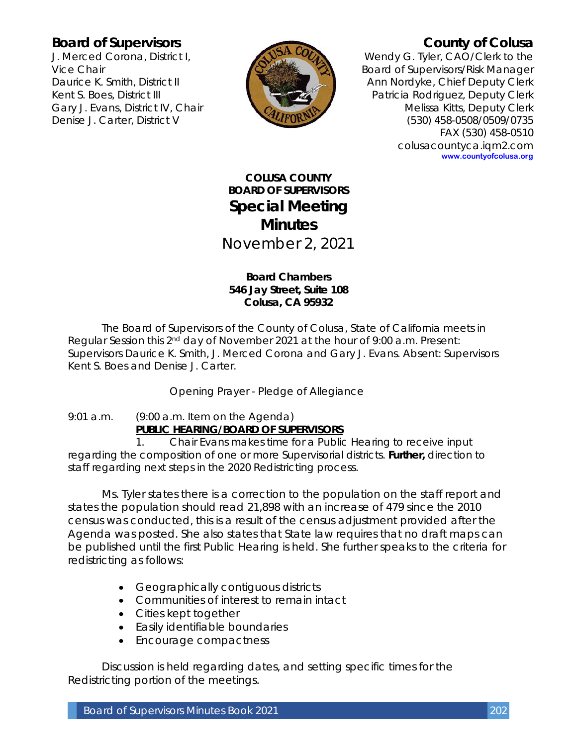## **Board of Supervisors**

J. Merced Corona, District I, Vice Chair Daurice K. Smith, District II Kent S. Boes, District III Gary J. Evans, District IV, Chair Denise J. Carter, District V



# **County of Colusa**

Wendy G. Tyler, CAO/Clerk to the Board of Supervisors/Risk Manager Ann Nordyke, Chief Deputy Clerk Patricia Rodriguez, Deputy Clerk Melissa Kitts, Deputy Clerk (530) 458-0508/0509/0735 FAX (530) 458-0510 colusacountyca.iqm2.com **www.countyofcolusa.org**

**COLUSA COUNTY BOARD OF SUPERVISORS Special Meeting Minutes** November 2, 2021

## **Board Chambers 546 Jay Street, Suite 108 Colusa, CA 95932**

The Board of Supervisors of the County of Colusa, State of California meets in Regular Session this 2<sup>nd</sup> day of November 2021 at the hour of 9:00 a.m. Present: Supervisors Daurice K. Smith, J. Merced Corona and Gary J. Evans. Absent: Supervisors Kent S. Boes and Denise J. Carter.

Opening Prayer - Pledge of Allegiance

## 9:01 a.m. (9:00 a.m. Item on the Agenda) **PUBLIC HEARING/BOARD OF SUPERVISORS**

1. Chair Evans makes time for a Public Hearing to receive input regarding the composition of one or more Supervisorial districts. **Further,** direction to staff regarding next steps in the 2020 Redistricting process.

Ms. Tyler states there is a correction to the population on the staff report and states the population should read 21,898 with an increase of 479 since the 2010 census was conducted, this is a result of the census adjustment provided after the Agenda was posted. She also states that State law requires that no draft maps can be published until the first Public Hearing is held. She further speaks to the criteria for redistricting as follows:

- Geographically contiguous districts
- Communities of interest to remain intact
- Cities kept together
- Easily identifiable boundaries
- Encourage compactness

Discussion is held regarding dates, and setting specific times for the Redistricting portion of the meetings.

Board of Supervisors Minutes Book 2021 202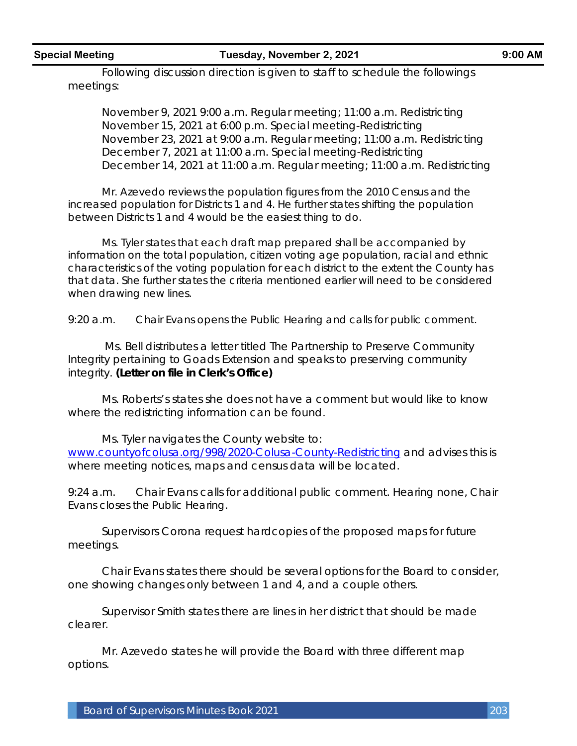#### **Special Meeting Tuesday, November 2, 2021 9:00 AM**

Following discussion direction is given to staff to schedule the followings meetings:

November 9, 2021 9:00 a.m. Regular meeting; 11:00 a.m. Redistricting November 15, 2021 at 6:00 p.m. Special meeting-Redistricting November 23, 2021 at 9:00 a.m. Regular meeting; 11:00 a.m. Redistricting December 7, 2021 at 11:00 a.m. Special meeting-Redistricting December 14, 2021 at 11:00 a.m. Regular meeting; 11:00 a.m. Redistricting

Mr. Azevedo reviews the population figures from the 2010 Census and the increased population for Districts 1 and 4. He further states shifting the population between Districts 1 and 4 would be the easiest thing to do.

Ms. Tyler states that each draft map prepared shall be accompanied by information on the total population, citizen voting age population, racial and ethnic characteristics of the voting population for each district to the extent the County has that data. She further states the criteria mentioned earlier will need to be considered when drawing new lines.

9:20 a.m. Chair Evans opens the Public Hearing and calls for public comment.

Ms. Bell distributes a letter titled The Partnership to Preserve Community Integrity pertaining to Goads Extension and speaks to preserving community integrity. **(Letter on file in Clerk's Office)**

Ms. Roberts's states she does not have a comment but would like to know where the redistricting information can be found.

Ms. Tyler navigates the County website to: [www.countyofcolusa.org/998/2020-Colusa-County-Redistricting](http://www.countyofcolusa.org/998/2020-Colusa-County-Redistricting) and advises this is where meeting notices, maps and census data will be located.

9:24 a.m. Chair Evans calls for additional public comment. Hearing none, Chair Evans closes the Public Hearing.

Supervisors Corona request hardcopies of the proposed maps for future meetings.

Chair Evans states there should be several options for the Board to consider, one showing changes only between 1 and 4, and a couple others.

Supervisor Smith states there are lines in her district that should be made clearer.

Mr. Azevedo states he will provide the Board with three different map options.